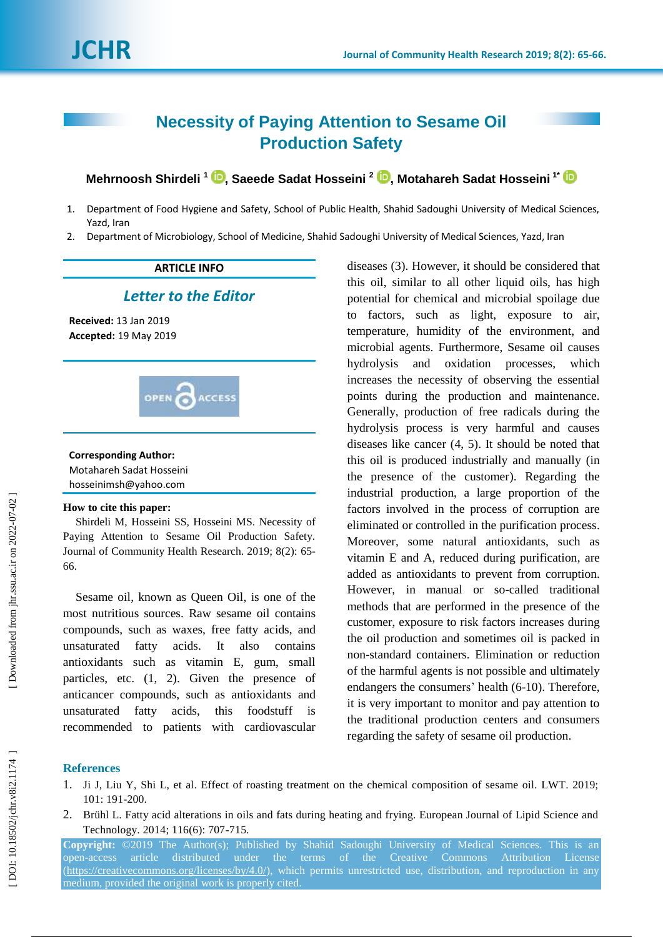# **Necessity of Paying Attention to Sesame Oil Production Safety**

# **Mehrnoosh Shirdeli<sup>1</sup> D[,](https://orcid.org/0000-0001-5250-9042) Saeede Sadat Hosseini<sup>2</sup> D, Motahareh Sadat Hosseini<sup>1</sup>**

- 1. Department of Food Hygiene and Safety, School of Public Health, Shahid Sadoughi University of Medical Sciences, Yazd, Iran
- 2. Department of Microbiology, School of Medicine, Shahid Sadoughi University of Medical Sciences, Yazd, Iran

### **ARTICLE INFO**

## *Letter to the Editor*

**Received:** 13 Jan 201 9 **Accepted:** 19 May 201 9



### **Corresponding Author:**

Motahareh Sadat Hosseini hosseinimsh@yahoo.com

#### **How to cite this paper:**

Shirdeli M, Hosseini SS , Hosseini MS . Necessity of Paying Attention to Sesame Oil Production Safety. Journal of Community Health Research. 2019; 8(2): 65- 66 .

Sesame oil , known as Queen Oil , is one of the most nutritious sources. Raw sesame oil contains compounds , such as waxes, free fatty acids , and unsaturated fatty acids. It also contains antioxidants such as vitamin E, gum, small particles, etc . (1, 2). Given the presence of anticancer compounds , such as antioxidants and unsaturated fatty acids , this foodstuff is recommended to patients with cardiovascular

diseases (3). However, it should be co nsidered that this oil, similar to all other liquid oils, has high potential for chemical and microbial spoilage due to factors , such as light, exposure to air, temperature , humidity of the environment, and microbial agents. Furthermore, Sesame oil causes hydrolysis and oxidation processes , which increases the necessity of observing the essential points during the production and maintenance. Generally, production of free radicals during the hydrolysis process is very harmful and causes diseases like cancer (4, 5) . It should be noted that this oil is produced industrially and manually (in the presence of the customer ). Regarding the industrial production, a large proportion of the factors involved in the process of corruption are eliminated or controlled in the purification process . Moreover, some natural antioxidants, such as vitamin E and A, reduced during purification , are added as antioxidants to prevent from corruption . However, in manual or so -called traditional methods that are performed in the presence of the customer , exposure to risk factors increases during the oil production and sometimes oil is packed in non -standard containers. Eliminati on or reduction of the harmful agents is not possible and ultimately endangers the consumers' health (6-10). Therefore, it is very important to monitor and pay attention to the traditional production centers and consumers regarding the safety of sesame oil production.

#### **References**

- 1. Ji J, Liu Y, Shi L, et al. Effect of roasting treatment on the chemical composition of sesame oil. LWT. 2019; 101: 191 -200.
- 2. Brühl L. Fatty acid alterations in oils and fats during heating and frying. European Journal of Lipid Science and Technology. 2014; 116(6): 707 -715.

**Copyright:** ©201 9 The Author(s); Published by Shahid Sadoughi University of Medical Sciences. This is an open -access article distributed under the terms of the Creative Commons Attribution License [\(https://creativecommons.org/licenses/by/4.0/\)](https://creativecommons.org/licenses/by/4.0/), which permits unrestricted use, distribution, and reproduction in any medium, provided the original work is properly cited.